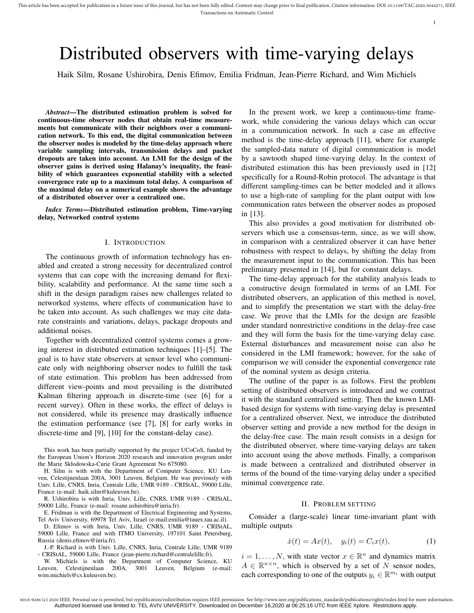# Distributed observers with time-varying delays

Haik Silm, Rosane Ushirobira, Denis Efimov, Emilia Fridman, Jean-Pierre Richard, and Wim Michiels

*Abstract*—The distributed estimation problem is solved for continuous-time observer nodes that obtain real-time measurements but communicate with their neighbors over a communication network. To this end, the digital communication between the observer nodes is modeled by the time-delay approach where variable sampling intervals, transmission delays and packet dropouts are taken into account. An LMI for the design of the observer gains is derived using Halanay's inequality, the feasibility of which guarantees exponential stability with a selected convergence rate up to a maximum total delay. A comparison of the maximal delay on a numerical example shows the advantage of a distributed observer over a centralized one.

*Index Terms*—Distributed estimation problem, Time-varying delay, Networked control systems

## I. INTRODUCTION

The continuous growth of information technology has enabled and created a strong necessity for decentralized control systems that can cope with the increasing demand for flexibility, scalability and performance. At the same time such a shift in the design paradigm raises new challenges related to networked systems, where effects of communication have to be taken into account. As such challenges we may cite datarate constraints and variations, delays, package dropouts and additional noises.

Together with decentralized control systems comes a growing interest in distributed estimation techniques [1]–[5]. The goal is to have state observers at sensor level who communicate only with neighboring observer nodes to fulfill the task of state estimation. This problem has been addressed from different view-points and most prevailing is the distributed Kalman filtering approach in discrete-time (see [6] for a recent survey). Often in these works, the effect of delays is not considered, while its presence may drastically influence the estimation performance (see [7], [8] for early works in discrete-time and [9], [10] for the constant-delay case).

This work has been partially supported by the project UCoCoS, funded by the European Union's Horizon 2020 research and innovation program under the Marie Skłodowska-Curie Grant Agreement No 675080.

H. Silm is with with the Department of Computer Science, KU Leuven, Celestijnenlaan 200A, 3001 Leuven, Belgium. He was previously with Univ. Lille, CNRS, Inria, Centrale Lille, UMR 9189 - CRIStAL, 59000 Lille, France (e-mail: haik.silm@kuleuven.be).

R. Ushirobira is with Inria, Univ. Lille, CNRS, UMR 9189 - CRIStAL, 59000 Lille, France (e-mail: rosane.ushirobira@inria.fr).

E. Fridman is with the Department of Electrical Engineering and Systems, Tel Aviv University, 69978 Tel Aviv, Israel (e-mail:emilia@tauex.tau.ac.il).

D. Efimov is with Inria, Univ. Lille, CNRS, UMR 9189 - CRIStAL, 59000 Lille, France and with ITMO University, 197101 Saint Petersburg, Russia (denis.efimov@inria.fr).

J.-P. Richard is with Univ. Lille, CNRS, Inria, Centrale Lille, UMR 9189 - CRIStAL, 59000 Lille, France (jean-pierre.richard@centralelille.fr).

W. Michiels is with the Department of Computer Science, KU Leuven, Celestijnenlaan 200A, 3001 Leuven, Belgium (e-mail: wim.michiels@cs.kuleuven.be).

In the present work, we keep a continuous-time framework, while considering the various delays which can occur in a communication network. In such a case an effective method is the time-delay approach [11], where for example the sampled-data nature of digital communication is model by a sawtooth shaped time-varying delay. In the context of distributed estimation this has been previously used in [12] specifically for a Round-Robin protocol. The advantage is that different sampling-times can be better modeled and it allows to use a high-rate of sampling for the plant output with low communication rates between the observer nodes as proposed in [13].

This also provides a good motivation for distributed observers which use a consensus-term, since, as we will show, in comparison with a centralized observer it can have better robustness with respect to delays, by shifting the delay from the measurement input to the communication. This has been preliminary presented in [14], but for constant delays.

The time-delay approach for the stability analysis leads to a constructive design formulated in terms of an LMI. For distributed observers, an application of this method is novel, and to simplify the presentation we start with the delay-free case. We prove that the LMIs for the design are feasible under standard nonrestrictive conditions in the delay-free case and they will form the basis for the time-varying delay case. External disturbances and measurement noise can also be considered in the LMI framework; however, for the sake of comparison we will consider the exponential convergence rate of the nominal system as design criteria.

The outline of the paper is as follows. First the problem setting of distributed observers is introduced and we contrast it with the standard centralized setting. Then the known LMIbased design for systems with time-varying delay is presented for a centralized observer. Next, we introduce the distributed observer setting and provide a new method for the design in the delay-free case. The main result consists in a design for the distributed observer, where time-varying delays are taken into account using the above methods. Finally, a comparison is made between a centralized and distributed observer in terms of the bound of the time-varying delay under a specified minimal convergence rate.

#### II. PROBLEM SETTING

Consider a (large-scale) linear time-invariant plant with multiple outputs

$$
\dot{x}(t) = Ax(t), \quad y_i(t) = C_i x(t), \tag{1}
$$

 $i = 1, \ldots, N$ , with state vector  $x \in \mathbb{R}^n$  and dynamics matrix  $A \in \mathbb{R}^{n \times n}$ , which is observed by a set of N sensor nodes, each corresponding to one of the outputs  $y_i \in \mathbb{R}^{m_i}$  with output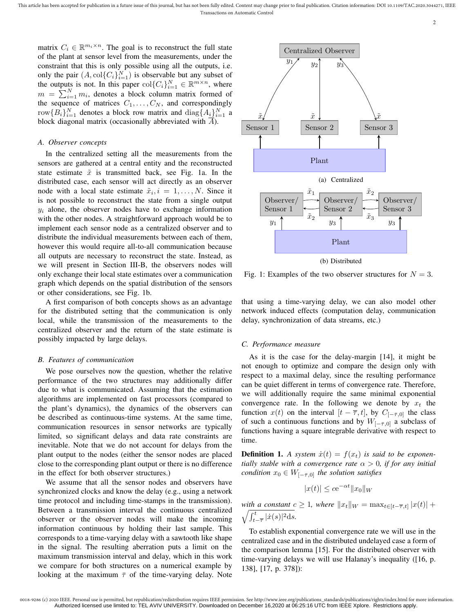matrix  $C_i \in \mathbb{R}^{m_i \times n}$ . The goal is to reconstruct the full state of the plant at sensor level from the measurements, under the constraint that this is only possible using all the outputs, i.e. only the pair  $(A, \text{col}\{C_i\}_{i=1}^N)$  is observable but any subset of the outputs is not. In this paper  $col{C_i}_{i=1}^N \in \mathbb{R}^{m \times n}$ , where  $m = \sum_{i=1}^{N} m_i$ , denotes a block column matrix formed of the sequence of matrices  $C_1, \ldots, C_N$ , and correspondingly row ${B_i}_{i=1}^N$  denotes a block row matrix and  $\text{diag}\{A_{i}\}_{i=1}^N$  a block diagonal matrix (occasionally abbreviated with  $\overline{A}$ ).

## *A. Observer concepts*

In the centralized setting all the measurements from the sensors are gathered at a central entity and the reconstructed state estimate  $\tilde{x}$  is transmitted back, see Fig. 1a. In the distributed case, each sensor will act directly as an observer node with a local state estimate  $\tilde{x}_i, i = 1, \ldots, N$ . Since it is not possible to reconstruct the state from a single output  $y_i$  alone, the observer nodes have to exchange information with the other nodes. A straightforward approach would be to implement each sensor node as a centralized observer and to distribute the individual measurements between each of them, however this would require all-to-all communication because all outputs are necessary to reconstruct the state. Instead, as we will present in Section III-B, the observers nodes will only exchange their local state estimates over a communication graph which depends on the spatial distribution of the sensors or other considerations, see Fig. 1b.

A first comparison of both concepts shows as an advantage for the distributed setting that the communication is only local, while the transmission of the measurements to the centralized observer and the return of the state estimate is possibly impacted by large delays.

#### *B. Features of communication*

We pose ourselves now the question, whether the relative performance of the two structures may additionally differ due to what is communicated. Assuming that the estimation algorithms are implemented on fast processors (compared to the plant's dynamics), the dynamics of the observers can be described as continuous-time systems. At the same time, communication resources in sensor networks are typically limited, so significant delays and data rate constraints are inevitable. Note that we do not account for delays from the plant output to the nodes (either the sensor nodes are placed close to the corresponding plant output or there is no difference in the effect for both observer structures.)

We assume that all the sensor nodes and observers have synchronized clocks and know the delay (e.g., using a network time protocol and including time-stamps in the transmission). Between a transmission interval the continuous centralized observer or the observer nodes will make the incoming information continuous by holding their last sample. This corresponds to a time-varying delay with a sawtooth like shape in the signal. The resulting aberration puts a limit on the maximum transmission interval and delay, which in this work we compare for both structures on a numerical example by looking at the maximum  $\bar{\tau}$  of the time-varying delay. Note



2

(b) Distributed

Fig. 1: Examples of the two observer structures for  $N = 3$ .

that using a time-varying delay, we can also model other network induced effects (computation delay, communication delay, synchronization of data streams, etc.)

## *C. Performance measure*

As it is the case for the delay-margin [14], it might be not enough to optimize and compare the design only with respect to a maximal delay, since the resulting performance can be quiet different in terms of convergence rate. Therefore, we will additionally require the same minimal exponential convergence rate. In the following we denote by  $x_t$  the function  $x(t)$  on the interval  $[t - \overline{\tau}, t]$ , by  $C_{[-\overline{\tau}, 0]}$  the class of such a continuous functions and by  $W_{[-\bar{\tau},0]}$  a subclass of functions having a square integrable derivative with respect to time.

**Definition 1.** A system  $\dot{x}(t) = f(x_t)$  is said to be exponen*tially stable with a convergence rate*  $\alpha > 0$ *, if for any initial condition*  $x_0 \in W_{[-\bar{\tau},0]}$  *the solution satisfies* 

$$
|x(t)| \le c e^{-\alpha t} ||x_0||_W
$$

*with a constant*  $c \geq 1$ *, where*  $||x_t||_W = \max_{t \in [t-\overline{\tau},t]} |x(t)| +$  $\sqrt{\int_{t-\overline{\tau}}^t |\dot{x}(s)|^2 ds}.$ 

To establish exponential convergence rate we will use in the centralized case and in the distributed undelayed case a form of the comparison lemma [15]. For the distributed observer with time-varying delays we will use Halanay's inequality ([16, p. 138], [17, p. 378]):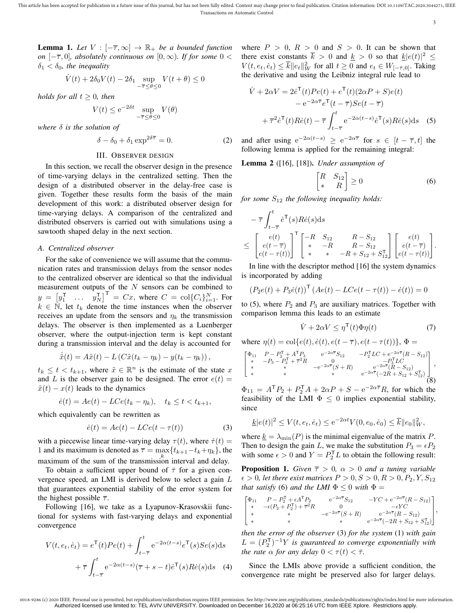**Lemma 1.** Let  $V : [-\overline{\tau}, \infty] \rightarrow \mathbb{R}_+$  be a bounded function *on*  $[-\overline{\tau}, 0]$ *, absolutely continuous on*  $[0, \infty)$ *. If for some*  $0 <$  $\delta_1 < \delta_0$ , the inequality

$$
\dot{V}(t) + 2\delta_0 V(t) - 2\delta_1 \sup_{-\overline{\tau} \le \theta \le 0} V(t + \theta) \le 0
$$

*holds for all*  $t \geq 0$ *, then* 

$$
V(t) \le e^{-2\delta t} \sup_{-\overline{\tau} \le \theta \le 0} V(\theta)
$$

*where* δ *is the solution of*

$$
\delta - \delta_0 + \delta_1 \exp^{2\delta \overline{\tau}} = 0.
$$
 (2)

# III. OBSERVER DESIGN

In this section, we recall the observer design in the presence of time-varying delays in the centralized setting. Then the design of a distributed observer in the delay-free case is given. Together these results form the basis of the main development of this work: a distributed observer design for time-varying delays. A comparison of the centralized and distributed observers is carried out with simulations using a sawtooth shaped delay in the next section.

# *A. Centralized observer*

For the sake of convenience we will assume that the communication rates and transmission delays from the sensor nodes to the centralized observer are identical so that the individual measurement outputs of the  $N$  sensors can be combined to  $y = \begin{bmatrix} y_1^{\mathsf{T}} & \dots & y_N^{\mathsf{T}} \end{bmatrix}^{\mathsf{T}} = Cx$ , where  $C = \text{col}\{C_i\}_{i=1}^N$ . For  $k \in \mathbb{N}$ , let  $t_k$  denote the time instances when the observer receives an update from the sensors and  $\eta_k$  the transmission delays. The observer is then implemented as a Luenberger observer, where the output-injection term is kept constant during a transmission interval and the delay is accounted for

$$
\dot{\tilde{x}}(t) = A\tilde{x}(t) - L\left(C\tilde{x}(t_k - \eta_k) - y(t_k - \eta_k)\right),
$$

 $t_k \leq t < t_{k+1}$ , where  $\tilde{x} \in \mathbb{R}^n$  is the estimate of the state x and L is the observer gain to be designed. The error  $e(t) =$  $\tilde{x}(t) - x(t)$  leads to the dynamics

$$
\dot{e}(t) = Ae(t) - LCe(t_k - \eta_k), \quad t_k \le t < t_{k+1},
$$

which equivalently can be rewritten as

$$
\dot{e}(t) = Ae(t) - LCe(t - \tau(t))\tag{3}
$$

with a piecewise linear time-varying delay  $\tau(t)$ , where  $\dot{\tau}(t)$  = 1 and its maximum is denoted as  $\overline{\tau} = \max_k \{t_{k+1} - t_k + \eta_k\}$ , the maximum of the sum of the transmission interval and delay.

To obtain a sufficient upper bound of  $\bar{\tau}$  for a given convergence speed, an LMI is derived below to select a gain L that guarantees exponential stability of the error system for the highest possible  $\overline{\tau}$ .

Following [16], we take as a Lyapunov-Krasovskii functional for systems with fast-varying delays and exponential convergence

$$
V(t, e_t, \dot{e}_t) = e^{\mathsf{T}}(t)Pe(t) + \int_{t-\overline{\tau}}^t e^{-2\alpha(t-s)} e^{\mathsf{T}}(s)Se(s)ds
$$

$$
+ \overline{\tau} \int_{t-\overline{\tau}}^t e^{-2\alpha(t-s)} (\overline{\tau} + s - t)\dot{e}^{\mathsf{T}}(s)Re(s)ds \quad (4)
$$

where  $P > 0$ ,  $R > 0$  and  $S > 0$ . It can be shown that there exist constants  $\overline{k} > 0$  and  $\underline{k} > 0$  so that  $\underline{k}|e(t)|^2 \le$  $V(t, e_t, \dot{e}_t) \leq \overline{k} ||e_t||_W^2$  for all  $t \geq 0$  and  $e_t \in W_{[-\overline{\tau}, 0]}$ . Taking the derivative and using the Leibniz integral rule lead to

$$
\dot{V} + 2\alpha V = 2\dot{e}^{T}(t)Pe(t) + e^{T}(t)(2\alpha P + S)e(t)
$$

$$
- e^{-2\alpha \overline{\tau}}e^{T}(t - \overline{\tau})Se(t - \overline{\tau})
$$

$$
+ \overline{\tau}^{2}\dot{e}^{T}(t)R\dot{e}(t) - \overline{\tau}\int_{t - \overline{\tau}}^{t} e^{-2\alpha(t - s)}\dot{e}^{T}(s)R\dot{e}(s)ds \quad (5)
$$

and after using  $e^{-2\alpha(t-s)} \ge e^{-2\alpha \overline{\tau}}$  for  $s \in [t - \overline{\tau}, t]$  the following lemma is applied for the remaining integral:

Lemma 2 ([16], [18]). *Under assumption of*

$$
\begin{bmatrix} R & S_{12} \\ * & R \end{bmatrix} \ge 0 \tag{6}
$$

*for some*  $S_{12}$  *the following inequality holds:* 

$$
- \overline{\tau} \int_{t-\overline{\tau}}^{t} \dot{e}^{T}(s) R \dot{e}(s) ds
$$
  
\n
$$
\leq \begin{bmatrix} e(t) \\ e(t-\overline{\tau}) \\ e(t-\tau(t)) \end{bmatrix}^{\top} \begin{bmatrix} -R & S_{12} & R-S_{12} \\ * & -R & R-S_{12} \\ * & * & -R+S_{12}+S_{12}^{\top} \end{bmatrix} \begin{bmatrix} e(t) \\ e(t-\overline{\tau}) \\ e(t-\tau(t)) \end{bmatrix}.
$$

In line with the descriptor method [16] the system dynamics is incorporated by adding

$$
(P_2e(t) + P_3\dot{e}(t))^{\mathsf{T}} (Ae(t) - LCe(t - \tau(t)) - \dot{e}(t)) = 0
$$

to (5), where  $P_2$  and  $P_3$  are auxiliary matrices. Together with comparison lemma this leads to an estimate

$$
\dot{V} + 2\alpha V \le \eta^{\mathsf{T}}(t)\Phi\eta(t) \tag{7}
$$

where  $\eta(t) = \text{col}\lbrace e(t), \dot{e}(t), e(t-\overline{\tau}), e(t-\tau(t))\rbrace$ ,  $\Phi =$ 

$$
\begin{bmatrix} \Phi_{11} & P-P_2^{\mathsf{T}}+A^{\mathsf{T}}P_3 & e^{-2\alpha\overline{\tau}}S_{12} & -P_2^{\mathsf{T}}LC + e^{-2\alpha\overline{\tau}}(R-S_{12}) \\ * & -P_3-P_3^{\mathsf{T}}+\overline{\tau}^2R & 0 & -P_3^{\mathsf{T}}LC \\ * & * & -e^{-2\alpha\overline{\tau}}(S+R) & e^{-2\alpha\overline{\tau}}(R-S_{12}) \\ * & * & * \end{bmatrix},
$$
  
\n
$$
e^{-2\alpha\overline{\tau}}(-2R+S_{12}+S_{12}^{\mathsf{T}})
$$

 $\Phi_{11} = A^{\mathsf{T}} P_2 + P_2^{\mathsf{T}} A + 2\alpha P_1 + S_2 - e^{-2\alpha \overline{\tau}} R$ , for which the feasibility of the LMI  $\Phi \leq 0$  implies exponential stability, since

$$
\underline{k}|e(t)|^2 \le V(t, e_t, \dot{e}_t) \le e^{-2\alpha t} V(0, e_0, \dot{e}_0) \le \overline{k} ||e_0||_W^2,
$$

where  $\underline{k} = \lambda_{\min}(P)$  is the minimal eigenvalue of the matrix P. Then to design the gain L, we make the substitution  $P_3 = \epsilon P_2$ with some  $\epsilon > 0$  and  $Y = P_2^{\mathsf{T}} L$  to obtain the following result:

**Proposition 1.** *Given*  $\overline{\tau} > 0$ ,  $\alpha > 0$  *and a tuning variable*  $\epsilon > 0$ , let there exist matrices  $P > 0$ ,  $S > 0$ ,  $R > 0$ ,  $P_2$ ,  $Y$ ,  $S_{12}$ *that satisfy* (6) *and the LMI*  $\Phi \leq 0$  *with*  $\Phi =$ 

$$
\begin{bmatrix}\n\Phi_{11} & P - P_2^{\mathsf{T}} + \epsilon A^{\mathsf{T}} P_2 & e^{-2\alpha \overline{\tau}} S_{12} & -Y C + e^{-2\alpha \overline{\tau}} (R - S_{12}) \\
* & -\epsilon (P_2 + P_2^{\mathsf{T}}) + \overline{\tau}^2 R & 0 & -\epsilon Y C \\
* & * & -e^{-2\alpha \overline{\tau}} (S + R) & e^{-2\alpha \overline{\tau}} (R - S_{12}) \\
* & * & * & e^{-2\alpha \overline{\tau}} (-2R + S_{12} + S_{12}^{\mathsf{T}})\n\end{bmatrix}
$$

,

*then the error of the observer* (3) *for the system* (1) *with gain*  $L = (P_2^{\mathsf{T}})^{-1}Y$  is guaranteed to converge exponentially with *the rate*  $\alpha$  *for any delay*  $0 < \tau(t) < \overline{\tau}$ *.* 

Since the LMIs above provide a sufficient condition, the convergence rate might be preserved also for larger delays.

<sup>0018-9286 (</sup>c) 2020 IEEE. Personal use is permitted, but republication/redistribution requires IEEE permission. See http://www.ieee.org/publications\_standards/publications/rights/index.html for more information Authorized licensed use limited to: TEL AVIV UNIVERSITY. Downloaded on December 16,2020 at 06:25:16 UTC from IEEE Xplore. Restrictions apply.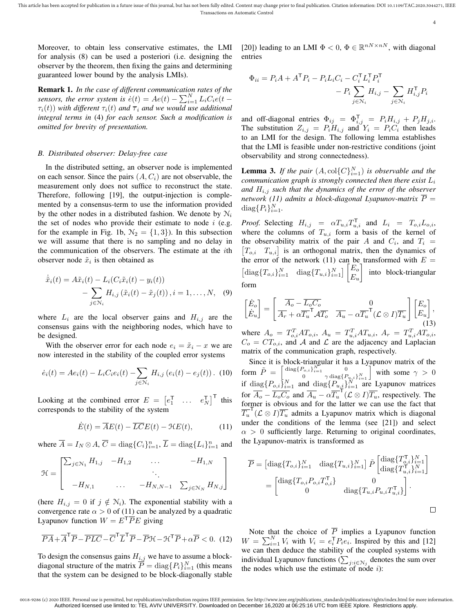Moreover, to obtain less conservative estimates, the LMI for analysis (8) can be used a posteriori (i.e. designing the observer by the theorem, then fixing the gains and determining guaranteed lower bound by the analysis LMIs).

Remark 1. *In the case of different communication rates of the sensors, the error system is*  $\ddot{e}(t) = Ae(t) - \sum_{i=1}^{N} L_i C_i e(t)$  $\tau_i(t)$ ) *with different*  $\tau_i(t)$  *and*  $\overline{\tau}_i$  *and* we would use additional *integral terms in* (4) *for each sensor. Such a modification is omitted for brevity of presentation.*

# *B. Distributed observer: Delay-free case*

In the distributed setting, an observer node is implemented on each sensor. Since the pairs  $(A, C_i)$  are not observable, the measurement only does not suffice to reconstruct the state. Therefore, following [19], the output-injection is complemented by a consensus-term to use the information provided by the other nodes in a distributed fashion. We denote by  $N_i$ the set of nodes who provide their estimate to node  $i$  (e.g. for the example in Fig. 1b,  $\mathcal{N}_2 = \{1, 3\}$ . In this subsection we will assume that there is no sampling and no delay in the communication of the observers. The estimate at the ith observer node  $\tilde{x}_i$  is then obtained as

$$
\dot{\tilde{x}}_i(t) = A\tilde{x}_i(t) - L_i(C_i\tilde{x}_i(t) - y_i(t))
$$

$$
- \sum_{j \in \mathcal{N}_i} H_{i,j}(\tilde{x}_i(t) - \tilde{x}_j(t)), i = 1, \dots, N, \quad (9)
$$

where  $L_i$  are the local observer gains and  $H_{i,j}$  are the consensus gains with the neighboring nodes, which have to be designed.

With the observer error for each node  $e_i = \tilde{x}_i - x$  we are now interested in the stability of the coupled error systems

$$
\dot{e}_i(t) = Ae_i(t) - L_iC_i e_i(t) - \sum_{j \in \mathcal{N}_i} H_{i,j} (e_i(t) - e_j(t)). \tag{10}
$$

Looking at the combined error  $E = \begin{bmatrix} e_1^{\mathsf{T}} & \dots & e_N^{\mathsf{T}} \end{bmatrix}^{\mathsf{T}}$  this corresponds to the stability of the system

$$
\dot{E}(t) = \overline{A}E(t) - \overline{L}\overline{C}E(t) - \mathcal{H}E(t),\tag{11}
$$

where  $\overline{A} = I_N \otimes A$ ,  $\overline{C} = \text{diag}\{C_i\}_{i=1}^n$ ,  $\overline{L} = \text{diag}\{L_i\}_{i=1}^n$  and

$$
\mathcal{H} = \begin{bmatrix} \sum_{j \in \mathcal{N}_1} H_{1,j} & -H_{1,2} & \dots & -H_{1,N} \\ \cdot & \cdot & \cdot \\ -H_{N,1} & \dots & -H_{N,N-1} & \sum_{j \in \mathcal{N}_N} H_{N,j} \end{bmatrix}
$$

(here  $H_{i,j} = 0$  if  $j \notin \mathcal{N}_i$ ). The exponential stability with a convergence rate  $\alpha > 0$  of (11) can be analyzed by a quadratic Lyapunov function  $W = E^{T} \overline{P} E$  giving

$$
\overline{PA} + \overline{A}^T \overline{P} - \overline{PLC} - \overline{C}^T \overline{L}^T \overline{P} - \overline{P} \mathcal{H} - \mathcal{H}^T \overline{P} + \alpha \overline{P} < 0. \tag{12}
$$

To design the consensus gains  $H_{i,j}$  we have to assume a blockdiagonal structure of the matrix  $\overline{P} = \text{diag}\{P_i\}_{i=1}^N$  (this means that the system can be designed to be block-diagonally stable

[20]) leading to an LMI  $\Phi < 0$ ,  $\Phi \in \mathbb{R}^{nN \times nN}$ , with diagonal entries

$$
\Phi_{ii} = P_i A + A^{\mathsf{T}} P_i - P_i L_i C_i - C_i^{\mathsf{T}} L_i^{\mathsf{T}} P_i^{\mathsf{T}} - P_i \sum_{j \in \mathcal{N}_i} H_{i,j} - \sum_{j \in \mathcal{N}_i} H_{i,j}^{\mathsf{T}} P_i
$$

and off-diagonal entries  $\Phi_{ij} = \Phi_{i,j}^{\mathsf{T}} = P_i H_{i,j} + P_j H_{j,i}$ . The substitution  $Z_{i,j} = P_i H_{i,j}$  and  $Y_i = P_i C_i$  then leads to an LMI for the design. The following lemma establishes that the LMI is feasible under non-restrictive conditions (joint observability and strong connectedness).

**Lemma 3.** If the pair  $(A, \text{col}\{C\}_{i=1}^N)$  is observable and the *communication graph is strongly connected then there exist* L<sup>i</sup> and  $H_{i,j}$  *such that the dynamics of the error of the observer network* (11) admits a block-diagonal Lyapunov-matrix  $\overline{P}$  =  $\operatorname{diag}\{P_i\}_{i=1}^N$ .

*Proof.* Selecting  $H_{i,j} = \alpha T_{u,i} T_{u,i}^{\mathsf{T}}$  and  $L_i = T_{o,i} L_{o,i}$ , where the columns of  $T_{u,i}$  form a basis of the kernel of the observability matrix of the pair A and  $C_i$ , and  $T_i$  =  $[T_{o,i}$   $T_{u,i}]$  is an orthogonal matrix, then the dynamics of the error of the network (11) can be transformed with  $E =$  $\begin{bmatrix} \text{diag}\{T_{o,i}\}_{i=1}^N & \text{diag}\{T_{u,i}\}_{i=1}^N \end{bmatrix} \begin{bmatrix} E_o \\ E_o \end{bmatrix}$  $E_u$  into block-triangular form

$$
\begin{bmatrix} \dot{E}_o \\ \dot{E}_u \end{bmatrix} = \begin{bmatrix} \overline{A_o} - \overline{L_o C_o} & 0 \\ \overline{A_r} + \alpha \overline{T_u}^{\mathsf{T}} \mathcal{A} \overline{T_o} & \overline{A_u} - \alpha \overline{T_u}^{\mathsf{T}} (\mathcal{L} \otimes I) \overline{T_u} \end{bmatrix} \begin{bmatrix} E_o \\ E_u \end{bmatrix},
$$
\n
$$
\overline{A_r} = \overline{A_r}^{\mathsf{T}} \overline{A_r}^{\mathsf{T}} \overline{A_r}^{\mathsf{T}} \overline{A_r}^{\mathsf{T}} \overline{A_u}^{\mathsf{T}} \overline{A_u}^{\mathsf{T}} \overline{A_u}^{\mathsf{T}} \overline{A_u}^{\mathsf{T}} \overline{A_u}^{\mathsf{T}} \overline{A_u}^{\mathsf{T}} \overline{A_u}^{\mathsf{T}} \overline{A_u}^{\mathsf{T}} \overline{A_u}^{\mathsf{T}} \overline{A_u}^{\mathsf{T}} \overline{A_u}^{\mathsf{T}} \overline{A_u}^{\mathsf{T}} \overline{A_u}^{\mathsf{T}} \overline{A_u}^{\mathsf{T}} \overline{A_u}^{\mathsf{T}} \overline{A_u}^{\mathsf{T}} \overline{A_u}^{\mathsf{T}} \overline{A_u}^{\mathsf{T}} \overline{A_u}^{\mathsf{T}} \overline{A_u}^{\mathsf{T}} \overline{A_u}^{\mathsf{T}} \overline{A_u}^{\mathsf{T}} \overline{A_u}^{\mathsf{T}} \overline{A_u}^{\mathsf{T}} \overline{A_u}^{\mathsf{T}} \overline{A_u}^{\mathsf{T}} \overline{A_u}^{\mathsf{T}} \overline{A_u}^{\mathsf{T}} \overline{A_u}^{\mathsf{T}} \overline{A_u}^{\mathsf{T}} \overline{A_u}^{\mathsf{T}} \overline{A_u}^{\mathsf{T}} \overline{A_u}^{\mathsf{T}} \overline{A_u}^{\mathsf{T}} \overline{A_u}^{\mathsf{T}} \overline{A_u}^{\mathsf{T}} \overline{A_u}^{\mathsf{T}} \overline{A_u}^{\mathsf{T}} \overline{A_u}^{\mathsf{T}} \overline{A_u}^{\mathsf{T}} \overline{A_u}^{\mathsf{T}} \overline{A_u}^
$$

where  $A_o = T_{o,i}^T AT_{o,i}$ ,  $A_u = T_{u,i}^T AT_{u,i}$ ,  $A_r = T_{u,i}^T AT_{o,i}$ ,  $C_o = CT_{o,i}$ , and A and L are the adjacency and Laplacian matrix of the communication graph, respectively.

Since it is block-triangular it has a Lyapunov matrix of the form  $\tilde{P} = \begin{bmatrix} \text{diag}\lbrace P_{o,i} \rbrace_{i=1}^N & 0 \\ 0 & \text{diag}\lbrace P_{o,i} \rbrace_{i=1}^N \end{bmatrix}$ 0  $\gamma \operatorname{diag}\{P_{u,i}\}_{i=1}^N$ with some  $\gamma > 0$ if  $\text{diag}\{P_{o,i}\}_{i=1}^N$  and  $\text{diag}\{P_{u,i}\}_{i=1}^N$  are Lyapunov matrices for  $\overline{A_o} - \overline{L_o C_o}$  and  $\overline{A_u} - \alpha \overline{T_u}^{\mathsf{T}} (\mathcal{L} \otimes I) \overline{T_u}$ , respectively. The former is obvious and for the latter we can use the fact that  $\overline{T_u}^{\mathsf{T}}(\mathcal{L}\otimes I)\overline{T_u}$  admits a Lyapunov matrix which is diagonal under the conditions of the lemma (see [21]) and select  $\alpha > 0$  sufficiently large. Returning to original coordinates, the Lyapunov-matrix is transformed as

$$
\overline{P} = \begin{bmatrix} \text{diag}\{T_{o,i}\}_{i=1}^N & \text{diag}\{T_{u,i}\}_{i=1}^N \end{bmatrix} \tilde{P} \begin{bmatrix} \text{diag}\{T_{o,i}^{\mathsf{T}}\}_{i=1}^N \end{bmatrix} \n= \begin{bmatrix} \text{diag}\{T_{o,i}P_{o,i}T_{o,i}^{\mathsf{T}}\} & 0 \\ 0 & \text{diag}\{T_{u,i}P_{u,i}T_{u,i}^{\mathsf{T}}\} \end{bmatrix} \n\Box
$$

Note that the choice of  $\overline{P}$  implies a Lyapunov function  $W = \sum_{i=1}^{N} V_i$  with  $V_i = e_i^{\mathsf{T}} P_i e_i$ . Inspired by this and [12] we can then deduce the stability of the coupled systems with individual Lyapunov functions  $(\sum_{j:i\in\mathcal{N}_j}$  denotes the sum over the nodes which use the estimate of node  $i$ ):

<sup>0018-9286 (</sup>c) 2020 IEEE. Personal use is permitted, but republication/redistribution requires IEEE permission. See http://www.ieee.org/publications\_standards/publications/rights/index.html for more information Authorized licensed use limited to: TEL AVIV UNIVERSITY. Downloaded on December 16,2020 at 06:25:16 UTC from IEEE Xplore. Restrictions apply.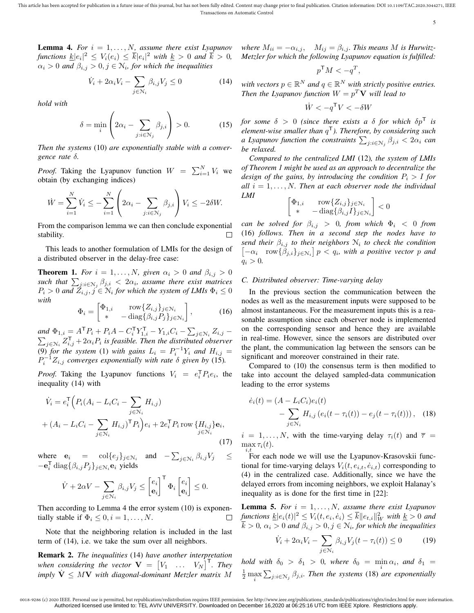**Lemma 4.** For  $i = 1, \ldots, N$ , assume there exist Lyapunov functions  $\underline{k}|e_i|^2 \leq V_i(e_i) \leq \overline{k}|e_i|^2$  with  $\underline{k} > 0$  and  $\overline{k} > 0$ ,  $\alpha_i > 0$  and  $\beta_{i,j} > 0, j \in \mathbb{N}_i$ , for which the inequalities

$$
\dot{V}_i + 2\alpha_i V_i - \sum_{j \in \mathcal{N}_i} \beta_{i,j} V_j \le 0 \tag{14}
$$

*hold with*

$$
\delta = \min_{i} \left( 2\alpha_i - \sum_{j:i \in \mathcal{N}_j} \beta_{j,i} \right) > 0. \tag{15}
$$

*Then the systems* (10) *are exponentially stable with a convergence rate* δ*.*

*Proof.* Taking the Lyapunov function  $W = \sum_{i=1}^{N} V_i$  we obtain (by exchanging indices)

$$
\dot{W} = \sum_{i=1}^{N} \dot{V}_i \le -\sum_{i=1}^{N} \left( 2\alpha_i - \sum_{j:i \in \mathcal{N}_j} \beta_{j,i} \right) V_i \le -2\delta W.
$$

From the comparison lemma we can then conclude exponential stability.  $\Box$ 

This leads to another formulation of LMIs for the design of a distributed observer in the delay-free case:

**Theorem 1.** *For*  $i = 1, ..., N$ , given  $\alpha_i > 0$  *and*  $\beta_{i,j} > 0$  $\frac{\partial f}{\partial t}$  and  $\sum_{j:i \in \mathbb{N}_j} \beta_{j,i} < 2\alpha_i$ , assume there exist matrices  $P_i > 0$  and  $\tilde{Z}_{i,j}, j \in \mathbb{N}_i$  for which the system of LMIs  $\Phi_i \leq 0$ *with*

$$
\Phi_i = \begin{bmatrix} \Phi_{1,i} & \text{row}\{Z_{i,j}\}_{j \in \mathcal{N}_i} \\ * & -\text{diag}\{\beta_{i,j}P_j\}_{j \in \mathcal{N}_i} \end{bmatrix},
$$
(16)

*and*  $\Phi_{1,i} = A^{\mathsf{T}} P_i + P_i A - C_i^{\mathsf{T}} Y_{1,i}^{\mathsf{T}} - Y_{1,i} C_i - \sum_{j \in \mathcal{N}_i}$ and  $\Phi_{1,i} = A^{\dagger} P_i + P_i A - C^{\dagger}_i Y^{\dagger}_{1,i} - Y_{1,i} C_i - \sum_{j \in \mathcal{N}_i} Z_{i,j} - \sum_{j \in \mathcal{N}_i} Z^{\dagger}_{i,j} + 2 \alpha_i P_i$  is feasible. Then the distributed observer (9) for the system (1) with gains  $L_i = P_i^{-1}Y_i$  and  $H_{i,j} =$  $P_i^{-1}Z_{i,j}$  converges exponentially with rate  $\delta$  given by (15).

*Proof.* Taking the Lyapunov functions  $V_i = e_i^T P_i e_i$ , the inequality (14) with

$$
\dot{V}_i = e_i^{\mathsf{T}} \Big( P_i (A_i - L_i C_i - \sum_{j \in \mathcal{N}_i} H_{i,j}) + (A_i - L_i C_i - \sum_{j \in \mathcal{N}_i} H_{i,j})^{\mathsf{T}} P_i \Big) e_i + 2e_i^{\mathsf{T}} P_i \operatorname{row} \{ H_{i,j} \} \mathbf{e}_i, \n+ (A_i - L_i C_i - \sum_{j \in \mathcal{N}_i} H_{i,j})^{\mathsf{T}} P_i \Big) e_i + 2e_i^{\mathsf{T}} P_i \operatorname{row} \{ H_{i,j} \} \mathbf{e}_i, \n+ (17)
$$

where  $\mathbf{e}_i = \text{col}\{e_j\}_{j \in \mathbb{N}_i}$  and  $-\sum_{j \in \mathbb{N}_i} \beta_{i,j} V_j \leq$  $-\mathbf{e}_i^{\mathsf{T}} \operatorname{diag}\{\beta_{i,j} P_j\}_{j \in \mathcal{N}_i} \mathbf{e}_i$  yields

$$
\dot{V} + 2\alpha V - \sum_{j \in \mathcal{N}_i} \beta_{i,j} V_j \le \begin{bmatrix} e_i \\ \mathbf{e}_i \end{bmatrix}^\mathsf{T} \Phi_i \begin{bmatrix} e_i \\ \mathbf{e}_i \end{bmatrix} \le 0.
$$

Then according to Lemma 4 the error system (10) is exponentially stable if  $\Phi_i \leq 0, i = 1, \ldots, N$ .  $\Box$ 

Note that the neighboring relation is included in the last term of (14), i.e. we take the sum over all neighbors.

Remark 2. *The inequalities* (14) *have another interpretation* when considering the vector  $\mathbf{V} = \begin{bmatrix} V_1 & \dots & V_N \end{bmatrix}^\mathsf{T}$ . They *imply*  $\dot{V} \leq MV$  *with diagonal-dominant Metzler matrix* M *where*  $M_{ii} = -\alpha_{i,j}$ ,  $M_{ij} = \beta_{i,j}$ *. This means* M *is Hurwitz-Metzler for which the following Lyapunov equation is fulfilled:*

$$
p^{\mathsf{T}}M < -q^T,
$$

*with vectors*  $p \in \mathbb{R}^N$  *and*  $q \in \mathbb{R}^N$  *with strictly positive entries. Then the Lyapunov function*  $W = p^T V$  *will lead to* 

 $\dot{W} < -q^{\mathsf{T}}V < -\delta W$ 

*for some*  $\delta > 0$  *(since there exists a*  $\delta$  *for which*  $\delta p^T$  *is element-wise smaller than* q <sup>T</sup>*). Therefore, by considering such a* Lyapunov function the constraints  $\sum_{j:i\in\mathbb{N}_j}\beta_{j,i} < 2\alpha_i$  can *be relaxed.*

*Compared to the centralized LMI* (12)*, the system of LMIs of Theorem 1 might be used as an approach to decentralize the design of the gains, by introducing the condition*  $P_i > I$  *for all*  $i = 1, \ldots, N$ *. Then at each observer node the individual LMI*

$$
\begin{bmatrix} \Phi_{1,i} & \text{row}\{Z_{i,j}\}_{j \in \mathcal{N}_i} \\ * & -\text{diag}\{\beta_{i,j}I\}_{j \in \mathcal{N}_i} \end{bmatrix} < 0
$$

*can be solved for*  $\beta_{i,j} > 0$ *, from which*  $\Phi_i < 0$  *from* (16) *follows. Then in a second step the nodes have to send their*  $\beta_{i,j}$  *to their neighbors*  $\mathcal{N}_i$  *to check the condition*  $\begin{bmatrix} -\alpha_i & \text{row}\{\beta_{j,i}\}_{j \in \mathbb{N}_i} \end{bmatrix} p < q_i$ , with a positive vector p and  $q_i > 0$ .

## *C. Distributed observer: Time-varying delay*

In the previous section the communication between the nodes as well as the measurement inputs were supposed to be almost instantaneous. For the measurement inputs this is a reasonable assumption since each observer node is implemented on the corresponding sensor and hence they are available in real-time. However, since the sensors are distributed over the plant, the communication lag between the sensors can be significant and moreover constrained in their rate.

Compared to (10) the consensus term is then modified to take into account the delayed sampled-data communication leading to the error systems

$$
\dot{e}_i(t) = (A - L_i C_i) e_i(t) - \sum_{j \in \mathcal{N}_i} H_{i,j} (e_i(t - \tau_i(t)) - e_j(t - \tau_i(t))), \quad (18)
$$

 $i = 1, \ldots, N$ , with the time-varying delay  $\tau_i(t)$  and  $\bar{\tau}$  =  $\max \tau_i(t)$ .

 $i, t$  For each node we will use the Lyapunov-Krasovskii functional for time-varying delays  $V_i(t, e_i, \dot{e_i}, t)$  corresponding to (4) in the centralized case. Additionally, since we have the delayed errors from incoming neighbors, we exploit Halanay's inequality as is done for the first time in [22]:

**Lemma 5.** *For*  $i = 1, ..., N$ *, assume there exist Lyapunov*  $f$ *unctions*  $\underline{k}|e_i(t)|^2 \leq V_i(t, e_i, \dot{e}_i) \leq \overline{k}||e_{t,i}||_W^2$  with  $\underline{k} > 0$  and  $k > 0$ ,  $\alpha_i > 0$  and  $\beta_{i,j} > 0$ ,  $j \in \mathcal{N}_i$ , for which the inequalities

$$
\dot{V}_i + 2\alpha_i V_i - \sum_{j \in \mathcal{N}_i} \beta_{i,j} V_j(t - \tau_i(t)) \le 0 \tag{19}
$$

*hold with*  $\delta_0 > \delta_1 > 0$ , where  $\delta_0 = \min \alpha_i$ , and  $\delta_1 =$  $\frac{1}{2}$  max  $\sum_{j:i\in\mathbb{N}_j}\beta_{j,i}$ . Then the systems (18) are exponentially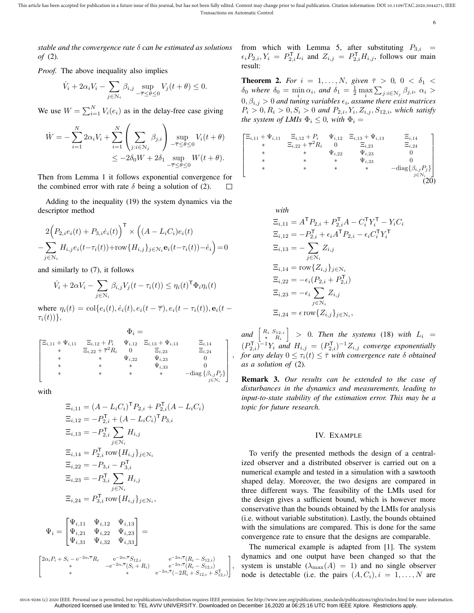This article has been accepted for publication in a future issue of this journal, but has not been fully edited. Content may change prior to final publication. Citation information: DOI 10.1109/TAC.2020.3044271, IEEE Transactions on Automatic Control

6

*stable and the convergence rate* δ *can be estimated as solutions of* (2)*.*

*Proof.* The above inequality also implies

$$
\dot{V}_i + 2\alpha_i V_i - \sum_{j \in \mathcal{N}_i} \beta_{i,j} \sup_{-\overline{\tau} \le \theta \le 0} V_j(t + \theta) \le 0.
$$

We use  $W = \sum_{i=1}^{N} V_i(e_i)$  as in the delay-free case giving

$$
\dot{W} = -\sum_{i=1}^{N} 2\alpha_i V_i + \sum_{i=1}^{N} \left( \sum_{j:i \in \mathcal{N}_j} \beta_{j,i} \right) \sup_{-\overline{\tau} \le \theta \le 0} V_i(t + \theta)
$$
  

$$
\le -2\delta_0 W + 2\delta_1 \sup_{-\overline{\tau} \le \theta \le 0} W(t + \theta).
$$

Then from Lemma 1 it follows exponential convergence for the combined error with rate  $\delta$  being a solution of (2). П

Adding to the inequality (19) the system dynamics via the descriptor method

$$
2\Big(P_{2,i}e_i(t) + P_{3,i}\dot{e}_i(t)\Big)^{\mathsf{T}} \times \Big((A - L_iC_i)e_i(t)\Big) - \sum_{j \in \mathcal{N}_i} H_{i,j}e_i(t - \tau_i(t)) + \text{row}\{H_{i,j}\}_{j \in \mathcal{N}_i} \mathbf{e}_i(t - \tau_i(t)) - \dot{e}_i\Big) = 0
$$

and similarly to (7), it follows

$$
\dot{V}_i + 2\alpha V_i - \sum_{j \in \mathcal{N}_i} \beta_{i,j} V_j(t - \tau_i(t)) \le \eta_i(t)^\mathsf{T} \Phi_i \eta_i(t)
$$

where  $\eta_i(t) = \text{col}\{e_i(t), \dot{e}_i(t), e_i(t - \overline{\tau}), e_i(t - \tau_i(t)), \mathbf{e}_i(t - \tau_i(t))\}$  $\tau_i(t)\rangle\},\$ 

$$
\Phi_{i} = \begin{bmatrix}\n\Xi_{i,11} + \Psi_{i,11} & \Xi_{i,12} + P_{i} & \Psi_{i,12} & \Xi_{i,13} + \Psi_{i,13} & \Xi_{i,14} \\
\ast & \Xi_{i,22} + \overline{\tau}^{2} R_{i} & 0 & \Xi_{i,23} & \Xi_{i,24} \\
\ast & \ast & \Psi_{i,22} & \Psi_{i,23} & 0 \\
\ast & \ast & \ast & \Psi_{i,33} & 0 \\
\ast & \ast & \ast & \ast & -\text{diag}\left\{\beta_{i,j}P_{j}\right\} \\
\ast & \ast & \ast & \ast & -\text{diag}\left\{\beta_{i,j}P_{j}\right\}\n\end{bmatrix}
$$

with

$$
\begin{aligned}\n\Xi_{i,11} &= (A - L_i C_i)^{\mathsf{T}} P_{2,i} + P_{2,i}^{\mathsf{T}} (A - L_i C_i) \\
\Xi_{i,12} &= -P_{2,i}^{\mathsf{T}} + (A - L_i C_i)^{\mathsf{T}} P_{3,i} \\
\Xi_{i,13} &= -P_{2,i}^{\mathsf{T}} \sum_{j \in \mathbb{N}_i} H_{i,j} \\
\Xi_{i,14} &= P_{2,i}^{\mathsf{T}} \operatorname{row} \{H_{i,j}\}_{j \in \mathbb{N}_i} \\
\Xi_{i,22} &= -P_{3,i} - P_{3,i}^{\mathsf{T}} \\
\Xi_{i,23} &= -P_{3,i}^{\mathsf{T}} \sum_{j \in \mathbb{N}_i} H_{i,j} \\
\Xi_{i,24} &= P_{3,i}^{\mathsf{T}} \operatorname{row} \{H_{i,j}\}_{j \in \mathbb{N}_i},\n\end{aligned}
$$

$$
\Psi_i = \begin{bmatrix} \Psi_{i,11} & \Psi_{i,12} & \Psi_{i,13} \\ \Psi_{i,21} & \Psi_{i,22} & \Psi_{i,23} \\ \Psi_{i,31} & \Psi_{i,32} & \Psi_{i,33} \end{bmatrix} =
$$

$$
\begin{bmatrix} 2\alpha_i P_i + S_i - \mathrm{e}^{-2\alpha_i \overline{\tau}} R_i & \mathrm{e}^{-2\alpha_i \overline{\tau}} S_{12,i} & \mathrm{e}^{-2\alpha_i \overline{\tau}} (R_i - S_{12,i}) \\ * & -\mathrm{e}^{-2\alpha_i \overline{\tau}} (S_i + R_i) & \mathrm{e}^{-2\alpha_i \overline{\tau}} (R_i - S_{12,i}) \\ * & * & \mathrm{e}^{-2\alpha_i \overline{\tau}} (-2R_i + S_{12,i} + S_{12,i}^{\mathsf{T}}) \end{bmatrix},
$$

from which with Lemma 5, after substituting  $P_{3,i}$  =  $\epsilon_i P_{2,i}, Y_i = P_{2,i}^{\mathsf{T}} L_i$  and  $Z_{i,j} = P_{2,i}^{\mathsf{T}} H_{i,j}$ , follows our main result:

**Theorem 2.** *For*  $i = 1, ..., N$ , given  $\bar{\tau} > 0$ ,  $0 < \delta_1 <$  $\delta_0$  where  $\delta_0 = \min_i \alpha_i$ , and  $\delta_1 = \frac{1}{2} \max_i \sum_{j:i \in \mathcal{N}_j} \beta_{j,i}, \alpha_i >$  $(0, \beta_{i,j} > 0$  and tuning variables  $\epsilon_i$ , assume there exist matrices  $P_i > 0, R_i > 0, S_i > 0$  and  $P_{2,i}, Y_i, Z_{i,j}, S_{12,i}$ , which satisfy *the system of LMIs*  $\Phi_i \leq 0$ *, with*  $\Phi_i =$ 

$$
\begin{bmatrix}\n\Xi_{i,11} + \Psi_{i,11} & \Xi_{i,12} + P_i & \Psi_{i,12} & \Xi_{i,13} + \Psi_{i,13} & \Xi_{i,14} \\
\ast & \Xi_{i,22} + \overline{\tau}^2 R_i & 0 & \Xi_{i,23} & \Xi_{i,24} \\
\ast & \ast & \Psi_{i,22} & \Psi_{i,23} & 0 \\
\ast & \ast & \ast & \Psi_{i,33} & 0 \\
\ast & \ast & \ast & \ast & -\text{diag}\{\beta_{i,j}P_j\} \\
\end{bmatrix}
$$
\n
$$
\begin{bmatrix}\n\Xi_{i,11} + \Psi_{i,11} & \Xi_{i,14} & \Psi_{i,13} & \Xi_{i,14} \\
\ast & \ast & \Psi_{i,23} & 0 & \Xi_{i,24} \\
\ast & \ast & \ast & \Psi_{i,33} & 0 \\
\ast & \ast & \ast & \ast & -\text{diag}\{\beta_{i,j}P_j\} \\
\end{bmatrix}
$$
\n
$$
(20)
$$

with  
\n
$$
\Xi_{i,11} = A^{\mathsf{T}} P_{2,i} + P_{2,i}^{\mathsf{T}} A - C_i^{\mathsf{T}} Y_i^{\mathsf{T}} - Y_i C_i
$$
\n
$$
\Xi_{i,12} = -P_{2,i}^{\mathsf{T}} + \epsilon_i A^{\mathsf{T}} P_{2,i} - \epsilon_i C_i^{\mathsf{T}} Y_i^{\mathsf{T}}
$$
\n
$$
\Xi_{i,13} = -\sum_{j \in \mathcal{N}_i} Z_{i,j}
$$
\n
$$
\Xi_{i,14} = \text{row}\{Z_{i,j}\}_{j \in \mathcal{N}_i}
$$
\n
$$
\Xi_{i,22} = -\epsilon_i (P_{2,i} + P_{2,i}^{\mathsf{T}})
$$
\n
$$
\Xi_{i,23} = -\epsilon_i \sum_{j \in \mathcal{N}_i} Z_{i,j}
$$
\n
$$
\Xi_{i,24} = \epsilon \text{ row}\{Z_{i,j}\}_{j \in \mathcal{N}_i},
$$

and  $\left[\begin{array}{cc} R_i & S_{12,i} \\ * & B_i \end{array}\right]$ ∗ R<sup>i</sup>  $\Big|$  > 0*. Then the systems* (18) *with*  $L_i$  =  $(P_{2,i}^{\mathsf{T}})^{-1}Y_i$  and  $H_{i,j} = (P_{2,i}^{\mathsf{T}})^{-1}Z_{i,j}$  converge exponentially *for any delay*  $0 \leq \tau_i(t) \leq \overline{\tau}$  *with convergence rate*  $\delta$  *obtained as a solution of* (2)*.*

Remark 3. *Our results can be extended to the case of disturbances in the dynamics and measurements, leading to input-to-state stability of the estimation error. This may be a topic for future research.*

## IV. EXAMPLE

To verify the presented methods the design of a centralized observer and a distributed observer is carried out on a numerical example and tested in a simulation with a sawtooth shaped delay. Moreover, the two designs are compared in three different ways. The feasibility of the LMIs used for the design gives a sufficient bound, which is however more conservative than the bounds obtained by the LMIs for analysis (i.e. without variable substitution). Lastly, the bounds obtained with the simulations are compared. This is done for the same convergence rate to ensure that the designs are comparable.

The numerical example is adapted from [1]. The system dynamics and one output have been changed so that the system is unstable  $(\lambda_{\text{max}}(A) = 1)$  and no single observer node is detectable (i.e. the pairs  $(A, C_i), i = 1, \ldots, N$  are

,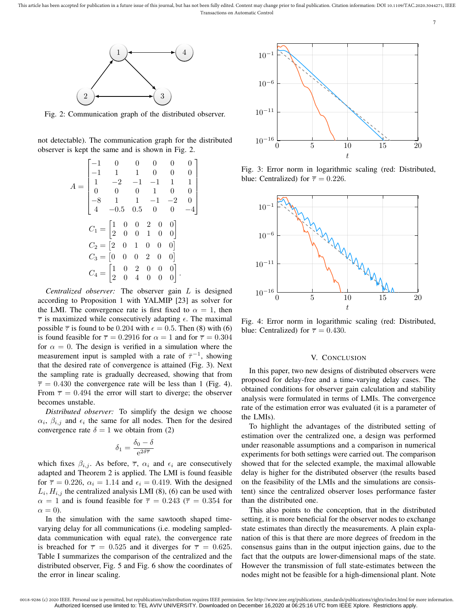

Fig. 2: Communication graph of the distributed observer.

not detectable). The communication graph for the distributed observer is kept the same and is shown in Fig. 2.

$$
A = \begin{bmatrix} -1 & 0 & 0 & 0 & 0 & 0 \\ -1 & 1 & 1 & 0 & 0 & 0 \\ 1 & -2 & -1 & -1 & 1 & 1 \\ 0 & 0 & 0 & 1 & 0 & 0 \\ -8 & 1 & 1 & -1 & -2 & 0 \\ 4 & -0.5 & 0.5 & 0 & 0 & -4 \end{bmatrix}
$$
  
\n
$$
C_1 = \begin{bmatrix} 1 & 0 & 0 & 2 & 0 & 0 \\ 2 & 0 & 0 & 1 & 0 & 0 \\ 2 & 0 & 0 & 1 & 0 & 0 \end{bmatrix}
$$
  
\n
$$
C_2 = \begin{bmatrix} 2 & 0 & 1 & 0 & 0 & 0 \\ 0 & 0 & 2 & 0 & 0 & 0 \\ 2 & 0 & 4 & 0 & 0 & 0 \end{bmatrix}.
$$

*Centralized observer:* The observer gain L is designed according to Proposition 1 with YALMIP [23] as solver for the LMI. The convergence rate is first fixed to  $\alpha = 1$ , then  $\overline{\tau}$  is maximized while consecutively adapting  $\epsilon$ . The maximal possible  $\bar{\tau}$  is found to be 0.204 with  $\epsilon = 0.5$ . Then (8) with (6) is found feasible for  $\overline{\tau} = 0.2916$  for  $\alpha = 1$  and for  $\overline{\tau} = 0.304$ for  $\alpha = 0$ . The design is verified in a simulation where the measurement input is sampled with a rate of  $\bar{\tau}^{-1}$ , showing that the desired rate of convergence is attained (Fig. 3). Next the sampling rate is gradually decreased, showing that from  $\overline{\tau} = 0.430$  the convergence rate will be less than 1 (Fig. 4). From  $\bar{\tau} = 0.494$  the error will start to diverge; the observer becomes unstable.

*Distributed observer:* To simplify the design we choose  $\alpha_i$ ,  $\beta_{i,j}$  and  $\epsilon_i$  the same for all nodes. Then for the desired convergence rate  $\delta = 1$  we obtain from (2)

$$
\delta_1=\frac{\delta_0-\delta}{\mathrm{e}^{2\delta\overline{\tau}}}
$$

which fixes  $\beta_{i,j}$ . As before,  $\overline{\tau}$ ,  $\alpha_i$  and  $\epsilon_i$  are consecutively adapted and Theorem 2 is applied. The LMI is found feasible for  $\overline{\tau} = 0.226$ ,  $\alpha_i = 1.14$  and  $\epsilon_i = 0.419$ . With the designed  $L_i$ ,  $H_{i,j}$  the centralized analysis LMI (8), (6) can be used with  $\alpha = 1$  and is found feasible for  $\overline{\tau} = 0.243$  ( $\overline{\tau} = 0.354$  for  $\alpha = 0$ ).

In the simulation with the same sawtooth shaped timevarying delay for all communications (i.e. modeling sampleddata communication with equal rate), the convergence rate is breached for  $\bar{\tau} = 0.525$  and it diverges for  $\bar{\tau} = 0.625$ . Table I summarizes the comparison of the centralized and the distributed observer, Fig. 5 and Fig. 6 show the coordinates of the error in linear scaling.



7

Fig. 3: Error norm in logarithmic scaling (red: Distributed, blue: Centralized) for  $\overline{\tau} = 0.226$ .



Fig. 4: Error norm in logarithmic scaling (red: Distributed, blue: Centralized) for  $\overline{\tau} = 0.430$ .

## V. CONCLUSION

In this paper, two new designs of distributed observers were proposed for delay-free and a time-varying delay cases. The obtained conditions for observer gain calculation and stability analysis were formulated in terms of LMIs. The convergence rate of the estimation error was evaluated (it is a parameter of the LMIs).

To highlight the advantages of the distributed setting of estimation over the centralized one, a design was performed under reasonable assumptions and a comparison in numerical experiments for both settings were carried out. The comparison showed that for the selected example, the maximal allowable delay is higher for the distributed observer (the results based on the feasibility of the LMIs and the simulations are consistent) since the centralized observer loses performance faster than the distributed one.

This also points to the conception, that in the distributed setting, it is more beneficial for the observer nodes to exchange state estimates than directly the measurements. A plain explanation of this is that there are more degrees of freedom in the consensus gains than in the output injection gains, due to the fact that the outputs are lower-dimensional maps of the state. However the transmission of full state-estimates between the nodes might not be feasible for a high-dimensional plant. Note